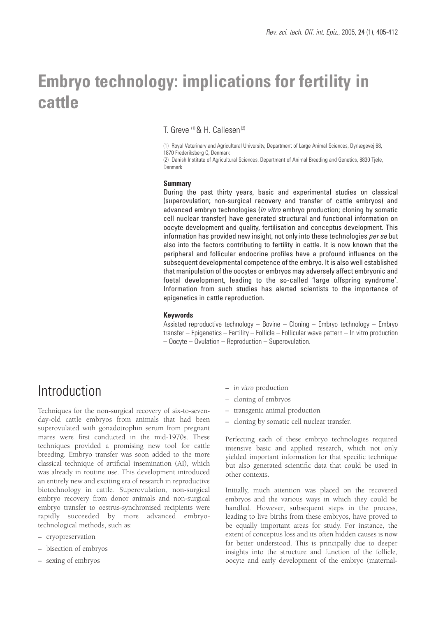# **Embryo technology: implications for fertility in cattle**

T. Greve (1) & H. Callesen (2)

(1) Royal Veterinary and Agricultural University, Department of Large Animal Sciences, Dyrlægevej 68, 1870 Frederiksberg C, Denmark

(2) Danish Institute of Agricultural Sciences, Department of Animal Breeding and Genetics, 8830 Tjele, Denmark

#### **Summary**

During the past thirty years, basic and experimental studies on classical (superovulation; non-surgical recovery and transfer of cattle embryos) and advanced embryo technologies (in vitro embryo production; cloning by somatic cell nuclear transfer) have generated structural and functional information on oocyte development and quality, fertilisation and conceptus development. This information has provided new insight, not only into these technologies per se but also into the factors contributing to fertility in cattle. It is now known that the peripheral and follicular endocrine profiles have a profound influence on the subsequent developmental competence of the embryo. It is also well established that manipulation of the oocytes or embryos may adversely affect embryonic and foetal development, leading to the so-called 'large offspring syndrome'. Information from such studies has alerted scientists to the importance of epigenetics in cattle reproduction.

#### **Keywords**

Assisted reproductive technology – Bovine – Cloning – Embryo technology – Embryo transfer – Epigenetics – Fertility – Follicle – Follicular wave pattern – In vitro production – Oocyte – Ovulation – Reproduction – Superovulation.

### Introduction

Techniques for the non-surgical recovery of six-to-sevenday-old cattle embryos from animals that had been superovulated with gonadotrophin serum from pregnant mares were first conducted in the mid-1970s. These techniques provided a promising new tool for cattle breeding. Embryo transfer was soon added to the more classical technique of artificial insemination (AI), which was already in routine use. This development introduced an entirely new and exciting era of research in reproductive biotechnology in cattle. Superovulation, non-surgical embryo recovery from donor animals and non-surgical embryo transfer to oestrus-synchronised recipients were rapidly succeeded by more advanced embryotechnological methods, such as:

- cryopreservation
- bisection of embryos
- sexing of embryos
- *in vitro* production
- cloning of embryos
- transgenic animal production
- cloning by somatic cell nuclear transfer.

Perfecting each of these embryo technologies required intensive basic and applied research, which not only yielded important information for that specific technique but also generated scientific data that could be used in other contexts.

Initially, much attention was placed on the recovered embryos and the various ways in which they could be handled. However, subsequent steps in the process, leading to live births from these embryos, have proved to be equally important areas for study. For instance, the extent of conceptus loss and its often hidden causes is now far better understood. This is principally due to deeper insights into the structure and function of the follicle, oocyte and early development of the embryo (maternal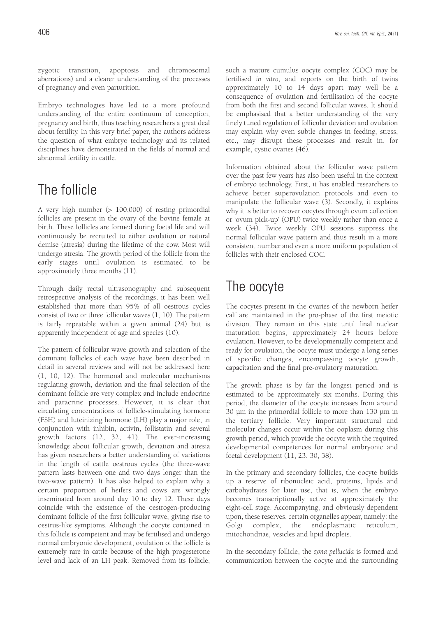zygotic transition, apoptosis and chromosomal aberrations) and a clearer understanding of the processes of pregnancy and even parturition.

Embryo technologies have led to a more profound understanding of the entire continuum of conception, pregnancy and birth, thus teaching researchers a great deal about fertility. In this very brief paper, the authors address the question of what embryo technology and its related disciplines have demonstrated in the fields of normal and abnormal fertility in cattle.

# The follicle

A very high number (> 100,000) of resting primordial follicles are present in the ovary of the bovine female at birth. These follicles are formed during foetal life and will continuously be recruited to either ovulation or natural demise (atresia) during the lifetime of the cow. Most will undergo atresia. The growth period of the follicle from the early stages until ovulation is estimated to be approximately three months (11).

Through daily rectal ultrasonography and subsequent retrospective analysis of the recordings, it has been well established that more than 95% of all oestrous cycles consist of two or three follicular waves (1, 10). The pattern is fairly repeatable within a given animal (24) but is apparently independent of age and species (10).

The pattern of follicular wave growth and selection of the dominant follicles of each wave have been described in detail in several reviews and will not be addressed here (1, 10, 12). The hormonal and molecular mechanisms regulating growth, deviation and the final selection of the dominant follicle are very complex and include endocrine and paracrine processes. However, it is clear that circulating concentrations of follicle-stimulating hormone (FSH) and luteinizing hormone (LH) play a major role, in conjunction with inhibin, activin, follistatin and several growth factors (12, 32, 41). The ever-increasing knowledge about follicular growth, deviation and atresia has given researchers a better understanding of variations in the length of cattle oestrous cycles (the three-wave pattern lasts between one and two days longer than the two-wave pattern). It has also helped to explain why a certain proportion of heifers and cows are wrongly inseminated from around day 10 to day 12. These days coincide with the existence of the oestrogen-producing dominant follicle of the first follicular wave, giving rise to oestrus-like symptoms. Although the oocyte contained in this follicle is competent and may be fertilised and undergo normal embryonic development, ovulation of the follicle is extremely rare in cattle because of the high progesterone level and lack of an LH peak. Removed from its follicle, such a mature cumulus oocyte complex (COC) may be fertilised *in vitro*, and reports on the birth of twins approximately 10 to 14 days apart may well be a consequence of ovulation and fertilisation of the oocyte from both the first and second follicular waves. It should be emphasised that a better understanding of the very finely tuned regulation of follicular deviation and ovulation may explain why even subtle changes in feeding, stress, etc., may disrupt these processes and result in, for example, cystic ovaries (46).

Information obtained about the follicular wave pattern over the past few years has also been useful in the context of embryo technology. First, it has enabled researchers to achieve better superovulation protocols and even to manipulate the follicular wave (3). Secondly, it explains why it is better to recover oocytes through ovum collection or 'ovum pick-up' (OPU) twice weekly rather than once a week (34). Twice weekly OPU sessions suppress the normal follicular wave pattern and thus result in a more consistent number and even a more uniform population of follicles with their enclosed COC.

## The oocyte

The oocytes present in the ovaries of the newborn heifer calf are maintained in the pro-phase of the first meiotic division. They remain in this state until final nuclear maturation begins, approximately 24 hours before ovulation. However, to be developmentally competent and ready for ovulation, the oocyte must undergo a long series of specific changes, encompassing oocyte growth, capacitation and the final pre-ovulatory maturation.

The growth phase is by far the longest period and is estimated to be approximately six months. During this period, the diameter of the oocyte increases from around 30 µm in the primordial follicle to more than 130 µm in the tertiary follicle. Very important structural and molecular changes occur within the ooplasm during this growth period, which provide the oocyte with the required developmental competences for normal embryonic and foetal development (11, 23, 30, 38).

In the primary and secondary follicles, the oocyte builds up a reserve of ribonucleic acid, proteins, lipids and carbohydrates for later use, that is, when the embryo becomes transcriptionally active at approximately the eight-cell stage. Accompanying, and obviously dependent upon, these reserves, certain organelles appear, namely: the Golgi complex, the endoplasmatic reticulum, mitochondriae, vesicles and lipid droplets.

In the secondary follicle, the *zona pellucida* is formed and communication between the oocyte and the surrounding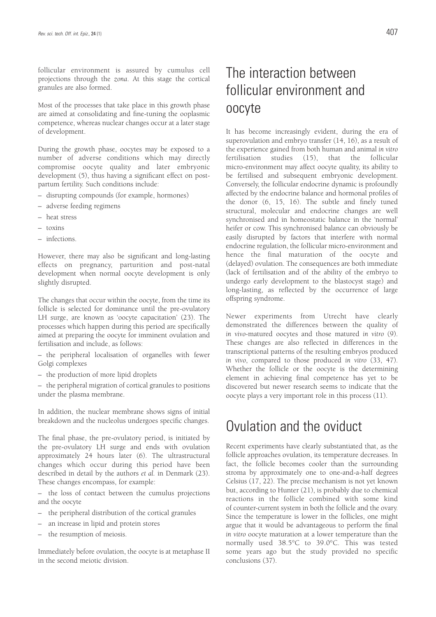follicular environment is assured by cumulus cell projections through the *zona*. At this stage the cortical granules are also formed.

Most of the processes that take place in this growth phase are aimed at consolidating and fine-tuning the ooplasmic competence, whereas nuclear changes occur at a later stage of development.

During the growth phase, oocytes may be exposed to a number of adverse conditions which may directly compromise oocyte quality and later embryonic development (5), thus having a significant effect on postpartum fertility. Such conditions include:

- disrupting compounds (for example, hormones)
- adverse feeding regimens
- heat stress
- toxins
- infections.

However, there may also be significant and long-lasting effects on pregnancy, parturition and post-natal development when normal oocyte development is only slightly disrupted.

The changes that occur within the oocyte, from the time its follicle is selected for dominance until the pre-ovulatory LH surge, are known as 'oocyte capacitation' (23). The processes which happen during this period are specifically aimed at preparing the oocyte for imminent ovulation and fertilisation and include, as follows:

– the peripheral localisation of organelles with fewer Golgi complexes

– the production of more lipid droplets

– the peripheral migration of cortical granules to positions under the plasma membrane.

In addition, the nuclear membrane shows signs of initial breakdown and the nucleolus undergoes specific changes.

The final phase, the pre-ovulatory period, is initiated by the pre-ovulatory LH surge and ends with ovulation approximately 24 hours later (6). The ultrastructural changes which occur during this period have been described in detail by the authors *et al.* in Denmark (23). These changes encompass, for example:

the loss of contact between the cumulus projections and the oocyte

- the peripheral distribution of the cortical granules
- an increase in lipid and protein stores
- the resumption of meiosis.

Immediately before ovulation, the oocyte is at metaphase II in the second meiotic division.

# The interaction between follicular environment and oocyte

It has become increasingly evident, during the era of superovulation and embryo transfer (14, 16), as a result of the experience gained from both human and animal *in vitro* fertilisation studies (15), that the follicular micro-environment may affect oocyte quality, its ability to be fertilised and subsequent embryonic development. Conversely, the follicular endocrine dynamic is profoundly affected by the endocrine balance and hormonal profiles of the donor (6, 15, 16). The subtle and finely tuned structural, molecular and endocrine changes are well synchronised and in homeostatic balance in the 'normal' heifer or cow. This synchronised balance can obviously be easily disrupted by factors that interfere with normal endocrine regulation, the follicular micro-environment and hence the final maturation of the oocyte and (delayed) ovulation. The consequences are both immediate (lack of fertilisation and of the ability of the embryo to undergo early development to the blastocyst stage) and long-lasting, as reflected by the occurrence of large offspring syndrome.

Newer experiments from Utrecht have clearly demonstrated the differences between the quality of *in vivo*-matured oocytes and those matured *in vitro* (9). These changes are also reflected in differences in the transcriptional patterns of the resulting embryos produced *in vivo*, compared to those produced *in vitro* (33, 47). Whether the follicle or the oocyte is the determining element in achieving final competence has yet to be discovered but newer research seems to indicate that the oocyte plays a very important role in this process (11).

#### Ovulation and the oviduct

Recent experiments have clearly substantiated that, as the follicle approaches ovulation, its temperature decreases. In fact, the follicle becomes cooler than the surrounding stroma by approximately one to one-and-a-half degrees Celsius (17, 22). The precise mechanism is not yet known but, according to Hunter (21), is probably due to chemical reactions in the follicle combined with some kind of counter-current system in both the follicle and the ovary. Since the temperature is lower in the follicles, one might argue that it would be advantageous to perform the final *in vitro* oocyte maturation at a lower temperature than the normally used 38.5°C to 39.0°C. This was tested some years ago but the study provided no specific conclusions (37).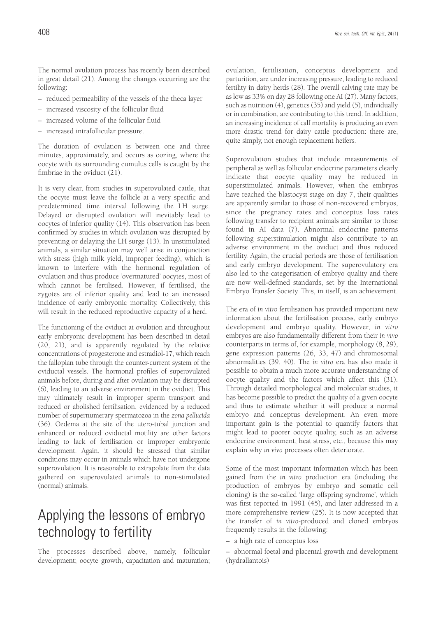The normal ovulation process has recently been described in great detail (21). Among the changes occurring are the following:

- reduced permeability of the vessels of the theca layer
- increased viscosity of the follicular fluid
- increased volume of the follicular fluid
- increased intrafollicular pressure.

The duration of ovulation is between one and three minutes, approximately, and occurs as oozing, where the oocyte with its surrounding cumulus cells is caught by the fimbriae in the oviduct (21).

It is very clear, from studies in superovulated cattle, that the oocyte must leave the follicle at a very specific and predetermined time interval following the LH surge. Delayed or disrupted ovulation will inevitably lead to oocytes of inferior quality (14). This observation has been confirmed by studies in which ovulation was disrupted by preventing or delaying the LH surge (13). In unstimulated animals, a similar situation may well arise in conjunction with stress (high milk yield, improper feeding), which is known to interfere with the hormonal regulation of ovulation and thus produce 'overmatured' oocytes, most of which cannot be fertilised. However, if fertilised, the zygotes are of inferior quality and lead to an increased incidence of early embryonic mortality. Collectively, this will result in the reduced reproductive capacity of a herd.

The functioning of the oviduct at ovulation and throughout early embryonic development has been described in detail (20, 21), and is apparently regulated by the relative concentrations of progesterone and estradiol-17, which reach the fallopian tube through the counter-current system of the oviductal vessels. The hormonal profiles of superovulated animals before, during and after ovulation may be disrupted (6), leading to an adverse environment in the oviduct. This may ultimately result in improper sperm transport and reduced or abolished fertilisation, evidenced by a reduced number of supernumerary spermatozoa in the *zona pellucida* (36). Oedema at the site of the utero-tubal junction and enhanced or reduced oviductal motility are other factors leading to lack of fertilisation or improper embryonic development. Again, it should be stressed that similar conditions may occur in animals which have not undergone superovulation. It is reasonable to extrapolate from the data gathered on superovulated animals to non-stimulated (normal) animals.

### Applying the lessons of embryo technology to fertility

The processes described above, namely, follicular development; oocyte growth, capacitation and maturation; ovulation, fertilisation, conceptus development and parturition, are under increasing pressure, leading to reduced fertility in dairy herds (28). The overall calving rate may be as low as 33% on day 28 following one AI (27). Many factors, such as nutrition (4), genetics (35) and yield (5), individually or in combination, are contributing to this trend. In addition, an increasing incidence of calf mortality is producing an even more drastic trend for dairy cattle production: there are, quite simply, not enough replacement heifers.

Superovulation studies that include measurements of peripheral as well as follicular endocrine parameters clearly indicate that oocyte quality may be reduced in superstimulated animals. However, when the embryos have reached the blastocyst stage on day 7, their qualities are apparently similar to those of non-recovered embryos, since the pregnancy rates and conceptus loss rates following transfer to recipient animals are similar to those found in AI data (7). Abnormal endocrine patterns following superstimulation might also contribute to an adverse environment in the oviduct and thus reduced fertility. Again, the crucial periods are those of fertilisation and early embryo development. The superovulatory era also led to the categorisation of embryo quality and there are now well-defined standards, set by the International Embryo Transfer Society. This, in itself, is an achievement.

The era of *in vitro* fertilisation has provided important new information about the fertilisation process, early embryo development and embryo quality. However, *in vitro* embryos are also fundamentally different from their *in vivo* counterparts in terms of, for example, morphology (8, 29), gene expression patterns (26, 33, 47) and chromosomal abnormalities (39, 40). The *in vitro* era has also made it possible to obtain a much more accurate understanding of oocyte quality and the factors which affect this (31). Through detailed morphological and molecular studies, it has become possible to predict the quality of a given oocyte and thus to estimate whether it will produce a normal embryo and conceptus development. An even more important gain is the potential to quantify factors that might lead to poorer oocyte quality, such as an adverse endocrine environment, heat stress, etc., because this may explain why *in vivo* processes often deteriorate.

Some of the most important information which has been gained from the *in vitro* production era (including the production of embryos by embryo and somatic cell cloning) is the so-called 'large offspring syndrome', which was first reported in 1991 (45), and later addressed in a more comprehensive review (25). It is now accepted that the transfer of *in vitro*-produced and cloned embryos frequently results in the following:

– a high rate of conceptus loss

– abnormal foetal and placental growth and development (hydrallantois)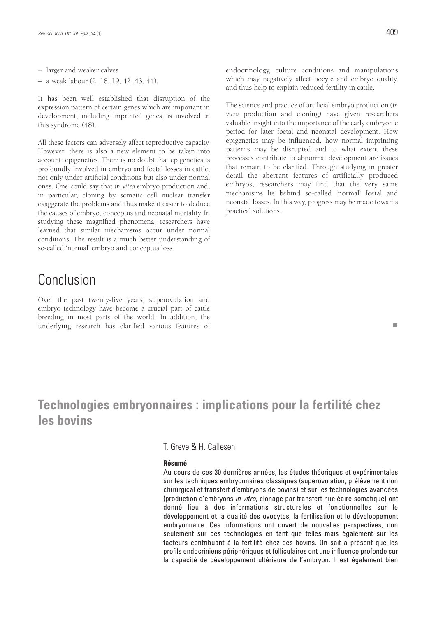– larger and weaker calves

– a weak labour (2, 18, 19, 42, 43, 44).

It has been well established that disruption of the expression pattern of certain genes which are important in development, including imprinted genes, is involved in this syndrome (48).

All these factors can adversely affect reproductive capacity. However, there is also a new element to be taken into account: epigenetics. There is no doubt that epigenetics is profoundly involved in embryo and foetal losses in cattle, not only under artificial conditions but also under normal ones. One could say that *in vitro* embryo production and, in particular, cloning by somatic cell nuclear transfer exaggerate the problems and thus make it easier to deduce the causes of embryo, conceptus and neonatal mortality. In studying these magnified phenomena, researchers have learned that similar mechanisms occur under normal conditions. The result is a much better understanding of so-called 'normal' embryo and conceptus loss.

#### Conclusion

Over the past twenty-five years, superovulation and embryo technology have become a crucial part of cattle breeding in most parts of the world. In addition, the underlying research has clarified various features of

The science and practice of artificial embryo production (*in vitro* production and cloning) have given researchers valuable insight into the importance of the early embryonic period for later foetal and neonatal development. How epigenetics may be influenced, how normal imprinting patterns may be disrupted and to what extent these processes contribute to abnormal development are issues that remain to be clarified. Through studying in greater detail the aberrant features of artificially produced embryos, researchers may find that the very same mechanisms lie behind so-called 'normal' foetal and neonatal losses. In this way, progress may be made towards practical solutions.

### **Technologies embryonnaires : implications pour la fertilité chez les bovins**

T. Greve & H. Callesen

#### **Résumé**

Au cours de ces 30 dernières années, les études théoriques et expérimentales sur les techniques embryonnaires classiques (superovulation, prélèvement non chirurgical et transfert d'embryons de bovins) et sur les technologies avancées (production d'embryons in vitro, clonage par transfert nucléaire somatique) ont donné lieu à des informations structurales et fonctionnelles sur le développement et la qualité des ovocytes, la fertilisation et le développement embryonnaire. Ces informations ont ouvert de nouvelles perspectives, non seulement sur ces technologies en tant que telles mais également sur les facteurs contribuant à la fertilité chez des bovins. On sait à présent que les profils endocriniens périphériques et folliculaires ont une influence profonde sur la capacité de développement ultérieure de l'embryon. Il est également bien

 $\mathbf{r}$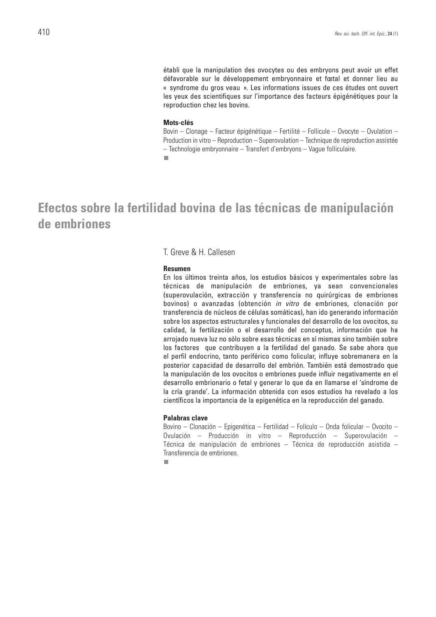établi que la manipulation des ovocytes ou des embryons peut avoir un effet défavorable sur le développement embryonnaire et fœtal et donner lieu au « syndrome du gros veau ». Les informations issues de ces études ont ouvert les yeux des scientifiques sur l'importance des facteurs épigénétiques pour la reproduction chez les bovins.

#### **Mots-clés**

Bovin – Clonage – Facteur épigénétique – Fertilité – Follicule – Ovocyte – Ovulation – Production in vitro – Reproduction – Superovulation – Technique de reproduction assistée – Technologie embryonnaire – Transfert d'embryons – Vague folliculaire.

 $\overline{\phantom{a}}$ 

#### **Efectos sobre la fertilidad bovina de las técnicas de manipulación de embriones**

#### T. Greve & H. Callesen

#### **Resumen**

En los últimos treinta años, los estudios básicos y experimentales sobre las técnicas de manipulación de embriones, ya sean convencionales (superovulación, extracción y transferencia no quirúrgicas de embriones bovinos) o avanzadas (obtención in vitro de embriones, clonación por transferencia de núcleos de células somáticas), han ido generando información sobre los aspectos estructurales y funcionales del desarrollo de los ovocitos, su calidad, la fertilización o el desarrollo del conceptus, información que ha arrojado nueva luz no sólo sobre esas técnicas en sí mismas sino también sobre los factores que contribuyen a la fertilidad del ganado. Se sabe ahora que el perfil endocrino, tanto periférico como folicular, influye sobremanera en la posterior capacidad de desarrollo del embrión. También está demostrado que la manipulación de los ovocitos o embriones puede influir negativamente en el desarrollo embrionario o fetal y generar lo que da en llamarse el 'síndrome de la cría grande'. La información obtenida con esos estudios ha revelado a los científicos la importancia de la epigenética en la reproducción del ganado.

#### **Palabras clave**

Bovino – Clonación – Epigenética – Fertilidad – Folículo – Onda folicular – Ovocito – Ovulación – Producción in vitro – Reproducción – Superovulación – Técnica de manipulación de embriones – Técnica de reproducción asistida – Transferencia de embriones.

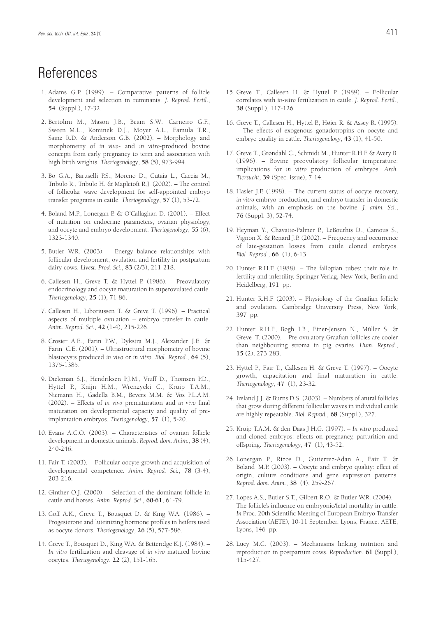### **References**

- 1. Adams G.P. (1999). Comparative patterns of follicle development and selection in ruminants. *J. Reprod. Fertil.*, **54** (Suppl.), 17-32.
- 2. Bertolini M., Mason J.B., Beam S.W., Carneiro G.F., Sween M.L., Kominek D.J., Moyer A.L., Famula T.R., Sainz R.D. & Anderson G.B. (2002). – Morphology and morphometry of *in vivo*- and *in vitro*-produced bovine concepti from early pregnancy to term and association with high birth weights. *Theriogenology*, **58** (5), 973-994.
- 3. Bo G.A., Baruselli P.S., Moreno D., Cutaia L., Caccia M., Tribulo R., Tribulo H. & Mapletoft R.J. (2002). – The control of follicular wave development for self-appointed embryo transfer programs in cattle. *Theriogenology*, **57** (1), 53-72.
- 4. Boland M.P., Lonergan P. & O'Callaghan D. (2001). Effect of nutrition on endocrine parameters, ovarian physiology, and oocyte and embryo development. *Theriogenology*, **55** (6), 1323-1340.
- 5. Butler W.R. (2003). Energy balance relationships with follicular development, ovulation and fertility in postpartum dairy cows. *Livest. Prod. Sci.*, **83** (2/3), 211-218.
- 6. Callesen H., Greve T. & Hyttel P. (1986). Preovulatory endocrinology and oocyte maturation in superovulated cattle. *Theriogenology*, **25** (1), 71-86.
- 7. Callesen H., Liboriussen T. & Greve T. (1996). Practical aspects of multiple ovulation – embryo transfer in cattle. *Anim. Reprod. Sci.*, **42** (1-4), 215-226.
- 8. Crosier A.E., Farin P.W., Dykstra M.J., Alexander J.E. & Farin C.E. (2001). – Ultrastructural morphometry of bovine blastocysts produced *in vivo* or *in vitro*. *Biol. Reprod.*, **64** (5), 1375-1385.
- 9. Dieleman S.J., Hendriksen P.J.M., Viuff D., Thomsen P.D., Hyttel P., Knijn H.M., Wrenzycki C., Kruip T.A.M., Niemann H., Gadella B.M., Bevers M.M. & Vos P.L.A.M. (2002). – Effects of *in vivo* prematuration and *in vivo* final maturation on developmental capacity and quality of preimplantation embryos. *Theriogenology*, **57** (1), 5-20.
- 10. Evans A.C.O. (2003). Characteristics of ovarian follicle development in domestic animals. *Reprod. dom. Anim.*, **38** (4), 240-246.
- 11. Fair T. (2003). Follicular oocyte growth and acquisition of developmental competence. *Anim. Reprod. Sci.*, **78** (3-4), 203-216.
- 12. Ginther O.J. (2000). Selection of the dominant follicle in cattle and horses. *Anim. Reprod. Sci.*, **60-61**, 61-79.
- 13. Goff A.K., Greve T., Bousquet D. & King W.A. (1986). Progesterone and luteinizing hormone profiles in heifers used as oocyte donors. *Theriogenology*, **26** (5), 577-586.
- 14. Greve T., Bousquet D., King W.A. & Betteridge K.J. (1984). *In vitro* fertilization and cleavage of *in vivo* matured bovine oocytes. *Theriogenology*, **22** (2), 151-165.
- 15. Greve T., Callesen H. & Hyttel P. (1989). Follicular correlates with *in-vitro* fertilization in cattle. *J. Reprod. Fertil.*, **38** (Suppl.), 117-126.
- 16. Greve T., Callesen H., Hyttel P., Høier R. & Assey R. (1995). – The effects of exogenous gonadotropins on oocyte and embryo quality in cattle. *Theriogenology*, **43** (1), 41-50.
- 17. Greve T., Grøndahl C., Schmidt M., Hunter R.H.F. & Avery B. (1996). – Bovine preovulatory follicular temperature: implications for *in vitro* production of embryos. *Arch. Tiersucht*, **39** (Spec. issue), 7-14.
- 18. Hasler J.F. (1998). The current status of oocyte recovery, *in vitro* embryo production, and embryo transfer in domestic animals, with an emphasis on the bovine. *J. anim. Sci.*, **76** (Suppl. 3), 52-74.
- 19. Heyman Y., Chavatte-Palmer P., LeBourhis D., Camous S., Vignon X. & Renard J.P. (2002). – Frequency and occurrence of late-gestation losses from cattle cloned embryos. *Biol. Reprod.*, **66** (1), 6-13.
- 20. Hunter R.H.F. (1988). The fallopian tubes: their role in fertility and infertility. Springer-Verlag, New York, Berlin and Heidelberg, 191 pp.
- 21. Hunter R.H.F. (2003). Physiology of the Graafian follicle and ovulation. Cambridge University Press, New York, 397 pp.
- 22. Hunter R.H.F., Bøgh I.B., Einer-Jensen N., Müller S. & Greve T. (2000). – Pre-ovulatory Graafian follicles are cooler than neighbouring stroma in pig ovaries. *Hum. Reprod.*, **15** (2), 273-283.
- 23. Hyttel P., Fair T., Callesen H. & Greve T. (1997). Oocyte growth, capacitation and final maturation in cattle. *Theriogenology*, **47** (1), 23-32.
- 24. Ireland J.J. & Burns D.S. (2003). Numbers of antral follicles that grow during different follicular waves in individual cattle are highly repeatable. *Biol. Reprod.*, **68** (Suppl.), 327.
- 25. Kruip T.A.M. & den Daas J.H.G. (1997). *In vitro* produced and cloned embryos: effects on pregnancy, parturition and offspring. *Theriogenology*, **47** (1), 43-52.
- 26. Lonergan P., Rizos D., Gutierrez-Adan A., Fair T. & Boland M.P. (2003). – Oocyte and embryo quality: effect of origin, culture conditions and gene expression patterns. *Reprod. dom. Anim.*, **38** (4), 259-267.
- 27. Lopes A.S., Butler S.T., Gilbert R.O. & Butler W.R. (2004). The follicle's influence on embryonic/fetal mortality in cattle. *In* Proc. 20th Scientific Meeting of European Embryo Transfer Association (AETE), 10-11 September, Lyons, France. AETE, Lyons, 146 pp.
- 28. Lucy M.C. (2003). Mechanisms linking nutrition and reproduction in postpartum cows. *Reproduction*, **61** (Suppl.), 415-427.